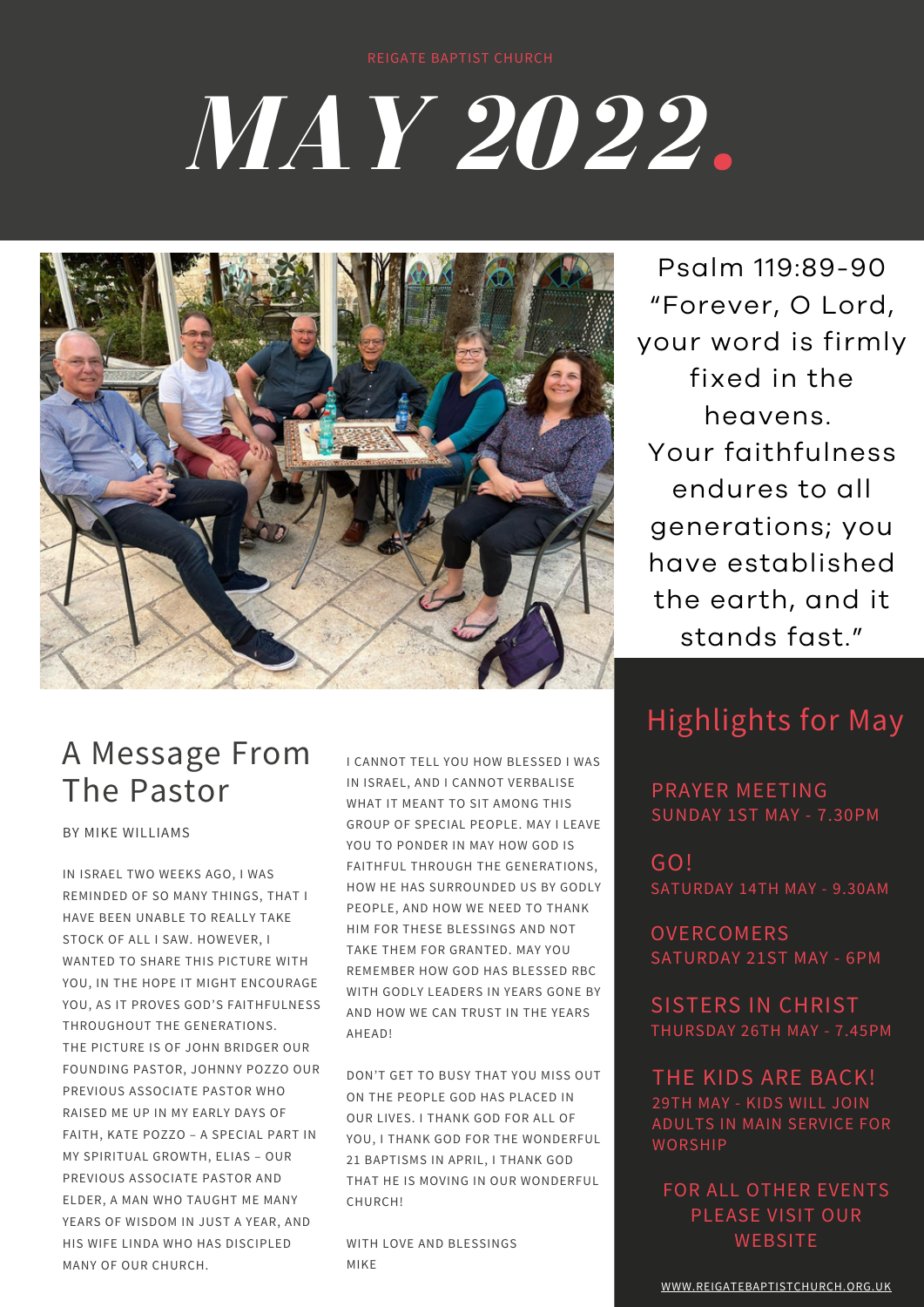# *MAY 2022.*



Psalm 119:89-90 "Forever, O Lord, your word is firmly fixed in the heavens. Your faithfulness endures to all generations; you have established the earth, and it stands fast."

## A Message From The Pastor

BY MIKE WILLIAMS

IN ISRAEL TWO WEEKS AGO, I WAS REMINDED OF SO MANY THINGS, THAT I HAVE BEEN UNABLE TO REALLY TAKE STOCK OF ALL I SAW. HOWEVER, I WANTED TO SHARE THIS PICTURE WITH YOU, IN THE HOPE IT MIGHT ENCOURAGE YOU, AS IT PROVES GOD'S FAITHFULNESS THROUGHOUT THE GENERATIONS. THE PICTURE IS OF JOHN BRIDGER OUR FOUNDING PASTOR, JOHNNY POZZO OUR PREVIOUS ASSOCIATE PASTOR WHO RAISED ME UP IN MY EARLY DAYS OF FAITH, KATE POZZO – A SPECIAL PART IN MY SPIRITUAL GROWTH, ELIAS – OUR PREVIOUS ASSOCIATE PASTOR AND ELDER, A MAN WHO TAUGHT ME MANY YEARS OF WISDOM IN JUST A YEAR, AND HIS WIFE LINDA WHO HAS DISCIPLED MANY OF OUR CHURCH.

I CANNOT TELL YOU HOW BLESSED I WAS IN ISRAEL, AND I CANNOT VERBALISE WHAT IT MEANT TO SIT AMONG THIS GROUP OF SPECIAL PEOPLE. MAY I LEAVE YOU TO PONDER IN MAY HOW GOD IS FAITHFUL THROUGH THE GENERATIONS, HOW HE HAS SURROUNDED US BY GODLY PEOPLE, AND HOW WE NEED TO THANK HIM FOR THESE BLESSINGS AND NOT TAKE THEM FOR GRANTED. MAY YOU REMEMBER HOW GOD HAS BLESSED RBC WITH GODLY LEADERS IN YEARS GONE BY AND HOW WE CAN TRUST IN THE YEARS AHEAD!

DON'T GET TO BUSY THAT YOU MISS OUT ON THE PEOPLE GOD HAS PLACED IN OUR LIVES. I THANK GOD FOR ALL OF YOU, I THANK GOD FOR THE WONDERFUL 21 BAPTISMS IN APRIL, I THANK GOD THAT HE IS MOVING IN OUR WONDERFUL CHURCH!

WITH LOVE AND BLESSINGS MIKE

## Highlights for May

PRAYER MEETING SUNDAY 1ST MAY - 7.30PM

GO! SATURDAY 14TH MAY - 9.30AM

**OVERCOMERS** SATURDAY 21ST MAY - 6PM

SISTERS IN CHRIST THURSDAY 26TH MAY - 7.45PM

THE KIDS ARE BACK! 29TH MAY - KIDS WILL JOIN ADULTS IN MAIN SERVICE FOR WORSHIP

FOR ALL OTHER EVENTS PLEASE VISIT OUR **WEBSITE**